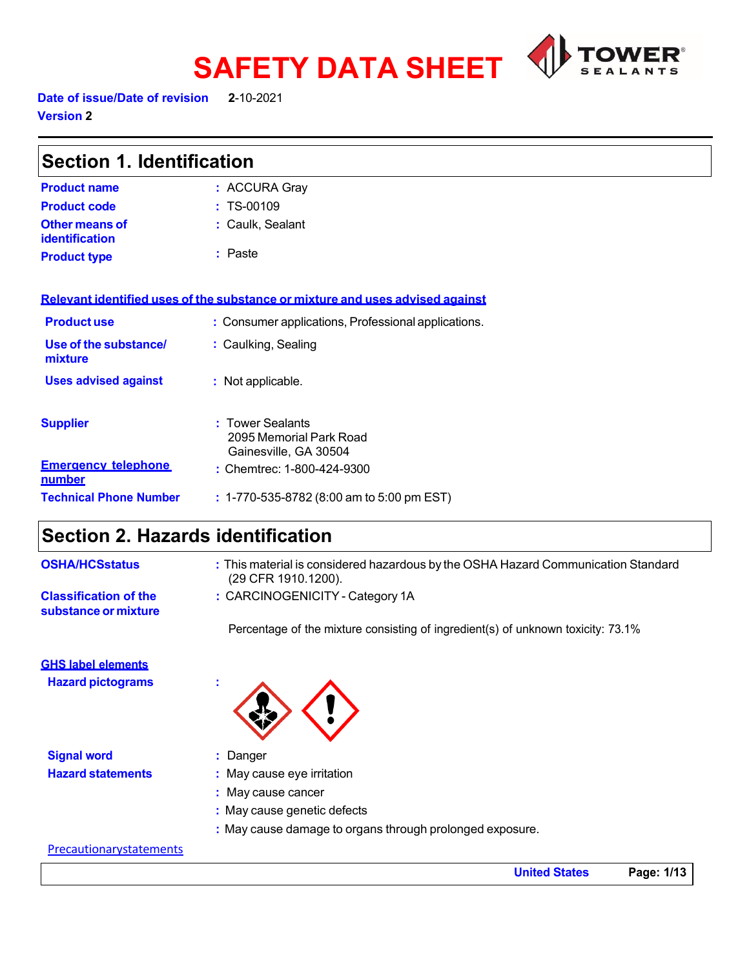

Date of issue/Date of revision **2**-10-2021

**Version 2** 

| <b>Section 1. Identification</b>        |                                                                               |  |
|-----------------------------------------|-------------------------------------------------------------------------------|--|
| <b>Product name</b>                     | : ACCURA Gray                                                                 |  |
| <b>Product code</b>                     | $: TS-00109$                                                                  |  |
| <b>Other means of</b><br>identification | : Caulk, Sealant                                                              |  |
| <b>Product type</b>                     | : Paste                                                                       |  |
|                                         | Relevant identified uses of the substance or mixture and uses advised against |  |
| <b>Productuse</b>                       | : Consumer applications, Professional applications.                           |  |
| Use of the substance/<br>mixture        | : Caulking, Sealing                                                           |  |
| <b>Uses advised against</b>             | : Not applicable.                                                             |  |
| <b>Supplier</b>                         | : Tower Sealants<br>2095 Memorial Park Road<br>Gainesville, GA 30504          |  |
| <b>Emergency telephone</b><br>number    | : Chemtrec: 1-800-424-9300                                                    |  |
| <b>Technical Phone Number</b>           | $: 1-770-535-8782$ (8:00 am to 5:00 pm EST)                                   |  |

# **Section 2. Hazards identification**

| <b>OSHA/HCSstatus</b>                                | : This material is considered hazardous by the OSHA Hazard Communication Standard<br>(29 CFR 1910.1200). |
|------------------------------------------------------|----------------------------------------------------------------------------------------------------------|
| <b>Classification of the</b><br>substance or mixture | : CARCINOGENICITY - Category 1A                                                                          |
|                                                      | Percentage of the mixture consisting of ingredient(s) of unknown toxicity: 73.1%                         |
| <b>GHS label elements</b>                            |                                                                                                          |
| <b>Hazard pictograms</b>                             |                                                                                                          |
| <b>Signal word</b>                                   | : Danger                                                                                                 |
| <b>Hazard statements</b>                             | : May cause eye irritation                                                                               |
|                                                      | : May cause cancer                                                                                       |
|                                                      | : May cause genetic defects                                                                              |
|                                                      | : May cause damage to organs through prolonged exposure.                                                 |
| <b>Precautionarystatements</b>                       |                                                                                                          |

**United States Page: 1/13**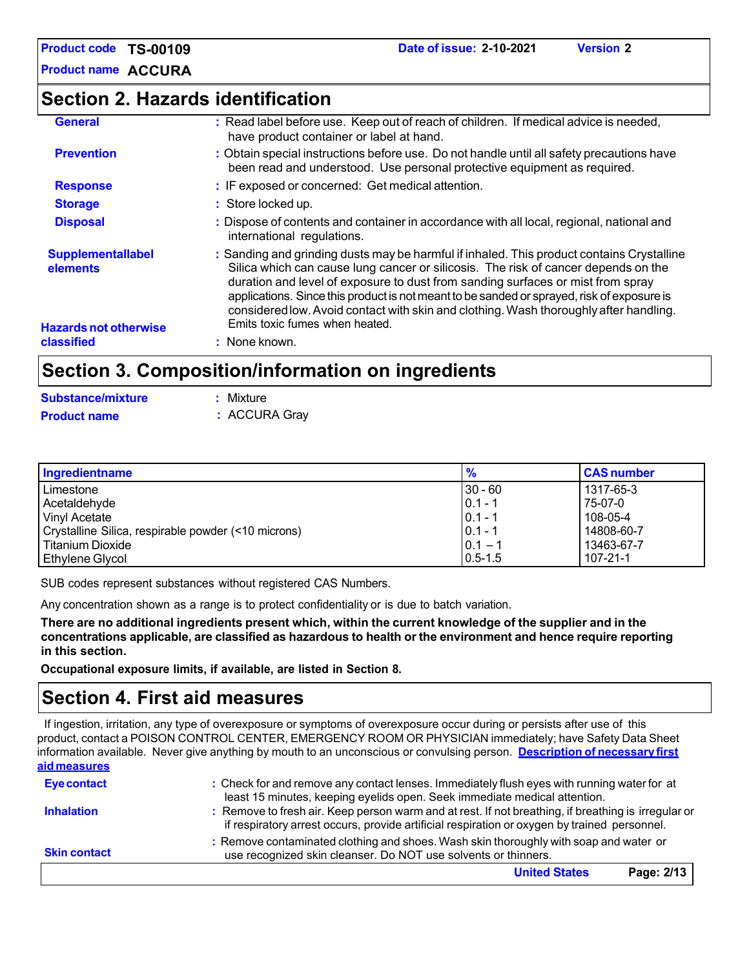**Product name ACCURA**

### **Section 2. Hazards identification**

| classified                           | : None known.                                                                                                                                                                                                                                                                                            |
|--------------------------------------|----------------------------------------------------------------------------------------------------------------------------------------------------------------------------------------------------------------------------------------------------------------------------------------------------------|
| <b>Hazards not otherwise</b>         | duration and level of exposure to dust from sanding surfaces or mist from spray<br>applications. Since this product is not meant to be sanded or sprayed, risk of exposure is<br>considered low. Avoid contact with skin and clothing. Wash thoroughly after handling.<br>Emits toxic fumes when heated. |
| <b>Supplementallabel</b><br>elements | : Sanding and grinding dusts may be harmful if inhaled. This product contains Crystalline<br>Silica which can cause lung cancer or silicosis. The risk of cancer depends on the                                                                                                                          |
| <b>Disposal</b>                      | : Dispose of contents and container in accordance with all local, regional, national and<br>international regulations.                                                                                                                                                                                   |
| <b>Storage</b>                       | : Store locked up.                                                                                                                                                                                                                                                                                       |
| <b>Response</b>                      | : IF exposed or concerned: Get medical attention.                                                                                                                                                                                                                                                        |
| <b>Prevention</b>                    | : Obtain special instructions before use. Do not handle until all safety precautions have<br>been read and understood. Use personal protective equipment as required.                                                                                                                                    |
| <b>General</b>                       | : Read label before use. Keep out of reach of children. If medical advice is needed,<br>have product container or label at hand.                                                                                                                                                                         |

### **Section 3. Composition/information on ingredients**

| <b>Substance/mixture</b> | : Mixture     |
|--------------------------|---------------|
| <b>Product name</b>      | : ACCURA Gray |

| Ingredientname                                      | $\frac{9}{6}$ | <b>CAS number</b> |
|-----------------------------------------------------|---------------|-------------------|
| Limestone                                           | 130 - 60      | 1317-65-3         |
| Acetaldehyde                                        | $0.1 - 1$     | 75-07-0           |
| <b>Vinyl Acetate</b>                                | $0.1 - 1$     | 108-05-4          |
| Crystalline Silica, respirable powder (<10 microns) | $0.1 - 1$     | 14808-60-7        |
| l Titanium Dioxide                                  | $0.1 - ?$     | 13463-67-7        |
| Ethylene Glycol                                     | $0.5 - 1.5$   | 107-21-1          |

SUB codes represent substances without registered CAS Numbers.

Any concentration shown as a range is to protect confidentiality or is due to batch variation.

There are no additional ingredients present which, within the current knowledge of the supplier and in the **concentrations applicable, are classified as hazardous to health or the environment and hence require reporting in this section.**

**Occupational exposure limits, if available, are listed in Section 8.**

### **Section 4. First aid measures**

If ingestion, irritation, any type of overexposure or symptoms of overexposure occur during or persists after use of this product, contact a POISON CONTROL CENTER, EMERGENCY ROOM OR PHYSICIAN immediately; have Safety Data Sheet information available. Never give anything by mouth to an unconscious or convulsing person. **Description of necessary first aid measures**

| <b>Eye contact</b>  | : Check for and remove any contact lenses. Immediately flush eyes with running water for at<br>least 15 minutes, keeping eyelids open. Seek immediate medical attention.                            |
|---------------------|-----------------------------------------------------------------------------------------------------------------------------------------------------------------------------------------------------|
| <b>Inhalation</b>   | : Remove to fresh air. Keep person warm and at rest. If not breathing, if breathing is irregular or<br>if respiratory arrest occurs, provide artificial respiration or oxygen by trained personnel. |
| <b>Skin contact</b> | : Remove contaminated clothing and shoes. Wash skin thoroughly with soap and water or<br>use recognized skin cleanser. Do NOT use solvents or thinners.                                             |
|                     | Page: 2/13<br><b>United States</b>                                                                                                                                                                  |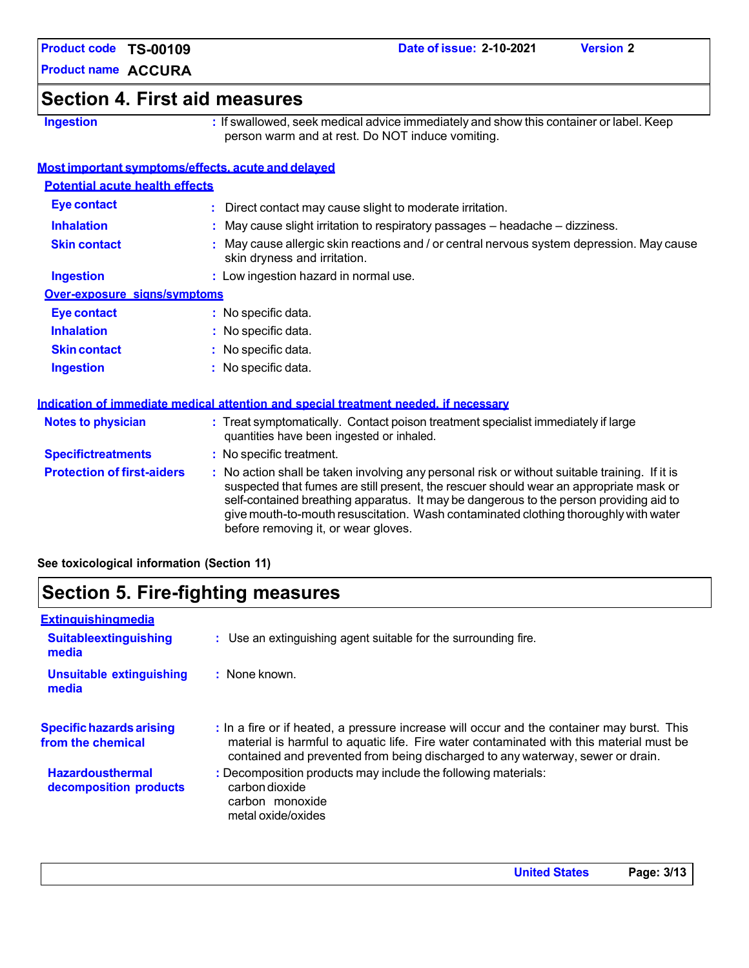**Product name ACCURA**

### **Section 4. First aid measures**

**Ingestion :** If swallowed, seek medical advice immediately and show this container or label. Keep person warm and at rest. Do NOT induce vomiting.

### **Most important symptoms/effects, acute and delayed**

| <b>Potential acute health effects</b> |                                                                                                                                |
|---------------------------------------|--------------------------------------------------------------------------------------------------------------------------------|
| Eye contact                           | : Direct contact may cause slight to moderate irritation.                                                                      |
| <b>Inhalation</b>                     | : May cause slight irritation to respiratory passages - headache - dizziness.                                                  |
| <b>Skin contact</b>                   | May cause allergic skin reactions and / or central nervous system depression. May cause<br>skin dryness and irritation.        |
| <b>Ingestion</b>                      | : Low ingestion hazard in normal use.                                                                                          |
| Over-exposure signs/symptoms          |                                                                                                                                |
| Eye contact                           | $:$ No specific data.                                                                                                          |
| <b>Inhalation</b>                     | : No specific data.                                                                                                            |
| <b>Skin contact</b>                   | $:$ No specific data.                                                                                                          |
| <b>Ingestion</b>                      | $:$ No specific data.                                                                                                          |
|                                       | <u>Indication of immediate medical attention and special treatment needed, if necessary</u>                                    |
| <b>Notes to physician</b>             | : Treat symptomatically. Contact poison treatment specialist immediately if large<br>quantities have been ingested or inhaled. |
| <b>Specifictreatments</b>             | : No specific treatment.                                                                                                       |

**Protection of first-aiders :** No action shall be taken involving any personal risk or without suitable training. If it is suspected that fumes are still present, the rescuer should wear an appropriate mask or self-contained breathing apparatus. It may be dangerous to the person providing aid to give mouth-to-mouth resuscitation. Wash contaminated clothing thoroughlywith water before removing it, or wear gloves.

**See toxicological information (Section 11)**

### **Section 5. Fire-fighting measures**

| Extinguishingmedia                                   |                                                                                                                                                                                                                                                                         |
|------------------------------------------------------|-------------------------------------------------------------------------------------------------------------------------------------------------------------------------------------------------------------------------------------------------------------------------|
| <b>Suitableextinguishing</b><br>media                | : Use an extinguishing agent suitable for the surrounding fire.                                                                                                                                                                                                         |
| <b>Unsuitable extinguishing</b><br>media             | $:$ None known.                                                                                                                                                                                                                                                         |
| <b>Specific hazards arising</b><br>from the chemical | : In a fire or if heated, a pressure increase will occur and the container may burst. This<br>material is harmful to aquatic life. Fire water contaminated with this material must be<br>contained and prevented from being discharged to any waterway, sewer or drain. |
| <b>Hazardousthermal</b><br>decomposition products    | : Decomposition products may include the following materials:<br>carbon dioxide<br>carbon monoxide<br>metal oxide/oxides                                                                                                                                                |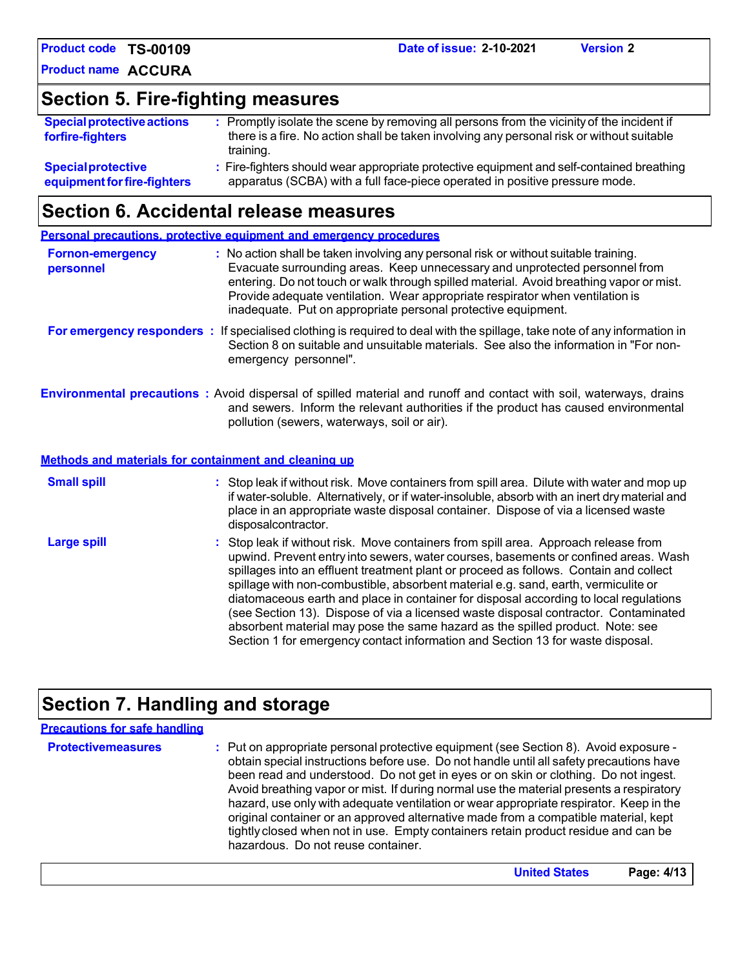**Product name ACCURA**

# **Section 5. Fire-fighting measures**

| <b>Special protective actions</b><br>forfire-fighters | : Promptly isolate the scene by removing all persons from the vicinity of the incident if<br>there is a fire. No action shall be taken involving any personal risk or without suitable<br>training. |
|-------------------------------------------------------|-----------------------------------------------------------------------------------------------------------------------------------------------------------------------------------------------------|
| <b>Special protective</b>                             | : Fire-fighters should wear appropriate protective equipment and self-contained breathing                                                                                                           |
| equipment for fire-fighters                           | apparatus (SCBA) with a full face-piece operated in positive pressure mode.                                                                                                                         |

### **Section 6. Accidental release measures**

|                                      | <b>Personal precautions, protective equipment and emergency procedures</b>                                                                                                                                                                                                                                                                                                                                                                                                                                                                                                                                                 |
|--------------------------------------|----------------------------------------------------------------------------------------------------------------------------------------------------------------------------------------------------------------------------------------------------------------------------------------------------------------------------------------------------------------------------------------------------------------------------------------------------------------------------------------------------------------------------------------------------------------------------------------------------------------------------|
| <b>Fornon-emergency</b><br>personnel | : No action shall be taken involving any personal risk or without suitable training.<br>Evacuate surrounding areas. Keep unnecessary and unprotected personnel from<br>entering. Do not touch or walk through spilled material. Avoid breathing vapor or mist.<br>Provide adequate ventilation. Wear appropriate respirator when ventilation is<br>inadequate. Put on appropriate personal protective equipment.                                                                                                                                                                                                           |
|                                      | For emergency responders : If specialised clothing is required to deal with the spillage, take note of any information in<br>Section 8 on suitable and unsuitable materials. See also the information in "For non-<br>emergency personnel".                                                                                                                                                                                                                                                                                                                                                                                |
|                                      | <b>Environmental precautions</b> : Avoid dispersal of spilled material and runoff and contact with soil, waterways, drains<br>and sewers. Inform the relevant authorities if the product has caused environmental<br>pollution (sewers, waterways, soil or air).                                                                                                                                                                                                                                                                                                                                                           |
|                                      | Methods and materials for containment and cleaning up                                                                                                                                                                                                                                                                                                                                                                                                                                                                                                                                                                      |
| <b>Small spill</b>                   | : Stop leak if without risk. Move containers from spill area. Dilute with water and mop up<br>if water-soluble. Alternatively, or if water-insoluble, absorb with an inert dry material and<br>place in an appropriate waste disposal container. Dispose of via a licensed waste<br>disposalcontractor.                                                                                                                                                                                                                                                                                                                    |
| <b>Large spill</b>                   | : Stop leak if without risk. Move containers from spill area. Approach release from<br>upwind. Prevent entry into sewers, water courses, basements or confined areas. Wash<br>spillages into an effluent treatment plant or proceed as follows. Contain and collect<br>spillage with non-combustible, absorbent material e.g. sand, earth, vermiculite or<br>diatomaceous earth and place in container for disposal according to local regulations<br>(see Section 13). Dispose of via a licensed waste disposal contractor. Contaminated<br>absorbent material may pose the same hazard as the spilled product. Note: see |

# **Section 7. Handling and storage**

| <b>Protectivemeasures</b><br>: Put on appropriate personal protective equipment (see Section 8). Avoid exposure -<br>obtain special instructions before use. Do not handle until all safety precautions have<br>been read and understood. Do not get in eyes or on skin or clothing. Do not ingest.<br>Avoid breathing vapor or mist. If during normal use the material presents a respiratory<br>hazard, use only with adequate ventilation or wear appropriate respirator. Keep in the<br>original container or an approved alternative made from a compatible material, kept<br>tightly closed when not in use. Empty containers retain product residue and can be<br>hazardous. Do not reuse container. |  |
|-------------------------------------------------------------------------------------------------------------------------------------------------------------------------------------------------------------------------------------------------------------------------------------------------------------------------------------------------------------------------------------------------------------------------------------------------------------------------------------------------------------------------------------------------------------------------------------------------------------------------------------------------------------------------------------------------------------|--|

Section 1 for emergency contact information and Section 13 for waste disposal.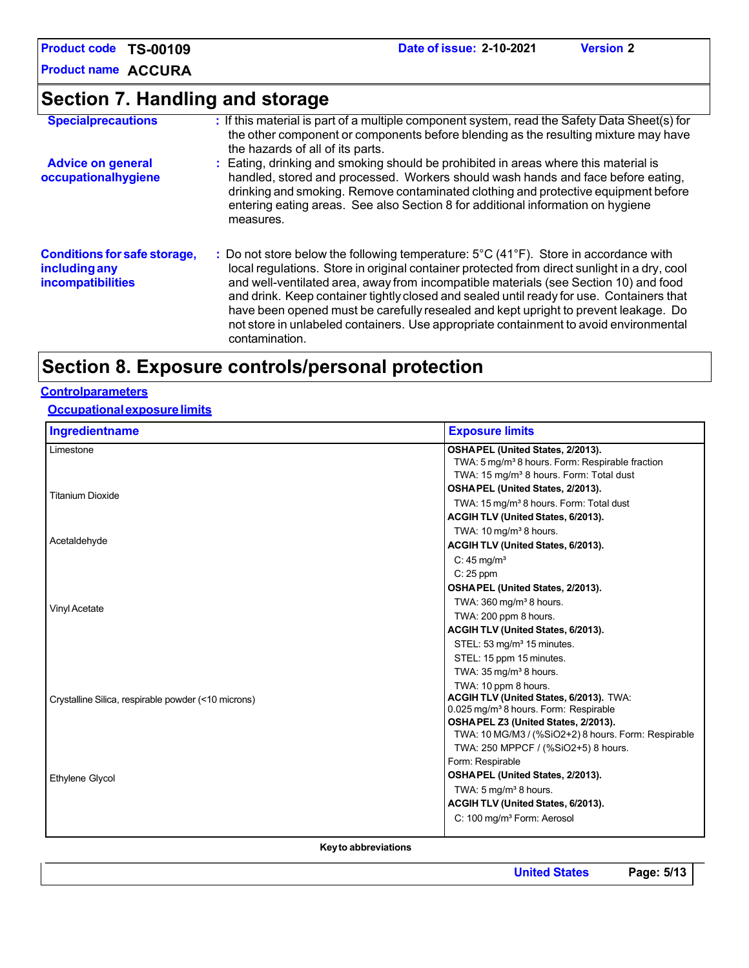**Product name ACCURA**

**Section 7. Handling and storage**

| <b>Specialprecautions</b>                                                        | : If this material is part of a multiple component system, read the Safety Data Sheet(s) for<br>the other component or components before blending as the resulting mixture may have<br>the hazards of all of its parts.                                                                                                                                                                                                                                                                                                                                                                         |
|----------------------------------------------------------------------------------|-------------------------------------------------------------------------------------------------------------------------------------------------------------------------------------------------------------------------------------------------------------------------------------------------------------------------------------------------------------------------------------------------------------------------------------------------------------------------------------------------------------------------------------------------------------------------------------------------|
| <b>Advice on general</b><br>occupationalhygiene                                  | : Eating, drinking and smoking should be prohibited in areas where this material is<br>handled, stored and processed. Workers should wash hands and face before eating,<br>drinking and smoking. Remove contaminated clothing and protective equipment before<br>entering eating areas. See also Section 8 for additional information on hygiene<br>measures.                                                                                                                                                                                                                                   |
| <b>Conditions for safe storage,</b><br>including any<br><b>incompatibilities</b> | : Do not store below the following temperature: $5^{\circ}$ C (41 $^{\circ}$ F). Store in accordance with<br>local regulations. Store in original container protected from direct sunlight in a dry, cool<br>and well-ventilated area, away from incompatible materials (see Section 10) and food<br>and drink. Keep container tightly closed and sealed until ready for use. Containers that<br>have been opened must be carefully resealed and kept upright to prevent leakage. Do<br>not store in unlabeled containers. Use appropriate containment to avoid environmental<br>contamination. |

## **Section 8. Exposure controls/personal protection**

### **Controlparameters**

**Occupationalexposurelimits**

| Ingredientname                                      | <b>Exposure limits</b>                                                                                                                                 |
|-----------------------------------------------------|--------------------------------------------------------------------------------------------------------------------------------------------------------|
| Limestone                                           | OSHAPEL (United States, 2/2013).<br>TWA: 5 mg/m <sup>3</sup> 8 hours. Form: Respirable fraction<br>TWA: 15 mg/m <sup>3</sup> 8 hours. Form: Total dust |
|                                                     | OSHAPEL (United States, 2/2013).                                                                                                                       |
| <b>Titanium Dioxide</b>                             | TWA: 15 mg/m <sup>3</sup> 8 hours. Form: Total dust                                                                                                    |
|                                                     | ACGIH TLV (United States, 6/2013).                                                                                                                     |
|                                                     | TWA: 10 mg/m <sup>3</sup> 8 hours.                                                                                                                     |
| Acetaldehyde                                        | ACGIH TLV (United States, 6/2013).                                                                                                                     |
|                                                     | $C: 45$ mg/m <sup>3</sup>                                                                                                                              |
|                                                     | $C: 25$ ppm                                                                                                                                            |
|                                                     | OSHAPEL (United States, 2/2013).                                                                                                                       |
|                                                     | TWA: $360 \,\mathrm{mg/m^3}$ 8 hours.                                                                                                                  |
| Vinyl Acetate                                       | TWA: 200 ppm 8 hours.                                                                                                                                  |
|                                                     | ACGIH TLV (United States, 6/2013).                                                                                                                     |
|                                                     | STEL: 53 mg/m <sup>3</sup> 15 minutes.                                                                                                                 |
|                                                     | STEL: 15 ppm 15 minutes.                                                                                                                               |
|                                                     | TWA: $35 \,\mathrm{mq/m^3}$ 8 hours.                                                                                                                   |
|                                                     | TWA: 10 ppm 8 hours.                                                                                                                                   |
| Crystalline Silica, respirable powder (<10 microns) | ACGIH TLV (United States, 6/2013). TWA:                                                                                                                |
|                                                     | 0.025 mg/m <sup>3</sup> 8 hours. Form: Respirable                                                                                                      |
|                                                     | OSHA PEL Z3 (United States, 2/2013).<br>TWA: 10 MG/M3 / (%SiO2+2) 8 hours. Form: Respirable                                                            |
|                                                     | TWA: 250 MPPCF / (%SiO2+5) 8 hours.                                                                                                                    |
|                                                     | Form: Respirable                                                                                                                                       |
|                                                     | OSHAPEL (United States, 2/2013).                                                                                                                       |
| Ethylene Glycol                                     | TWA: $5 \,\mathrm{mq/m^3}$ 8 hours.                                                                                                                    |
|                                                     | ACGIH TLV (United States, 6/2013).                                                                                                                     |
|                                                     | C: 100 mg/m <sup>3</sup> Form: Aerosol                                                                                                                 |
|                                                     |                                                                                                                                                        |
|                                                     |                                                                                                                                                        |

**Keyto abbreviations**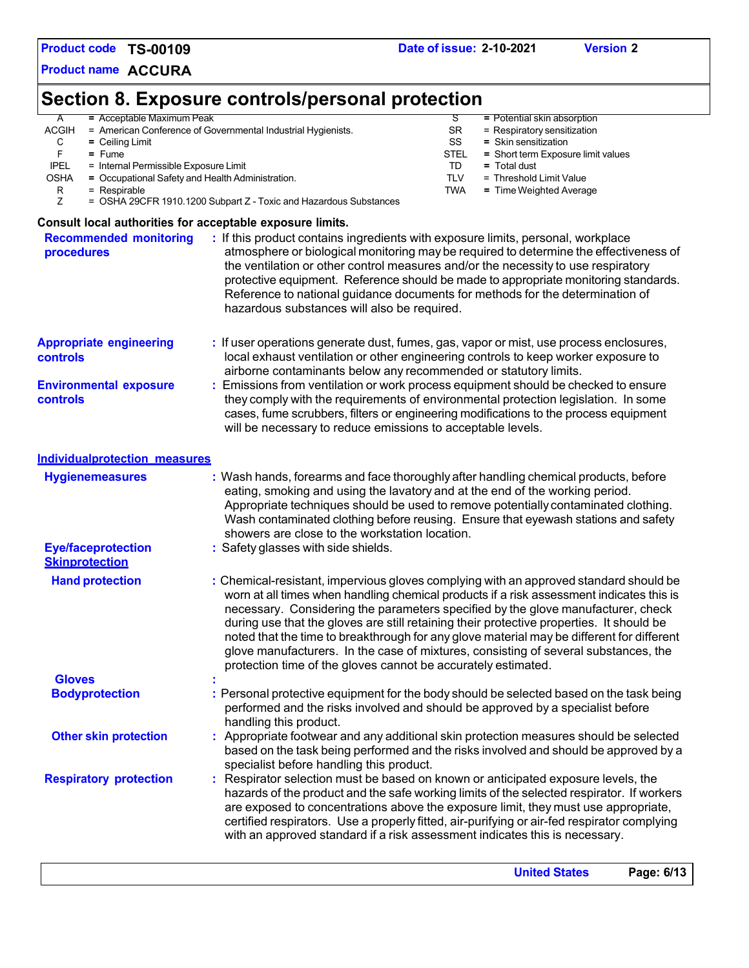**Product name ACCURA**

# **Section 8. Exposure controls/personal protection**

| $\mathsf{A}$ | $=$ Acceptable Maximum Peak                                       |             | $=$ Potential skin absorption      |
|--------------|-------------------------------------------------------------------|-------------|------------------------------------|
| <b>ACGIH</b> | = American Conference of Governmental Industrial Hygienists.      | SR.         | $=$ Respiratory sensitization      |
| С            | $=$ Ceiling Limit                                                 | SS          | $=$ Skin sensitization             |
|              | $=$ Fume                                                          | <b>STEL</b> | = Short term Exposure limit values |
| <b>IPEL</b>  | = Internal Permissible Exposure Limit                             | TD          | $=$ Total dust                     |
| <b>OSHA</b>  | = Occupational Safety and Health Administration.                  | TLV         | = Threshold Limit Value            |
| R            | $=$ Respirable                                                    | <b>TWA</b>  | $=$ Time Weighted Average          |
|              | = OSHA 29CFR 1910.1200 Subpart Z - Toxic and Hazardous Substances |             |                                    |
|              | Consult local authorities for acceptable exposure limits.         |             |                                    |

|                                                 | <b>United States</b><br>Page: 6/13                                                                                                                                                                                                                                                                                                                                                                                                                                                                                            |
|-------------------------------------------------|-------------------------------------------------------------------------------------------------------------------------------------------------------------------------------------------------------------------------------------------------------------------------------------------------------------------------------------------------------------------------------------------------------------------------------------------------------------------------------------------------------------------------------|
| <b>Respiratory protection</b>                   | : Respirator selection must be based on known or anticipated exposure levels, the<br>hazards of the product and the safe working limits of the selected respirator. If workers<br>are exposed to concentrations above the exposure limit, they must use appropriate,<br>certified respirators. Use a properly fitted, air-purifying or air-fed respirator complying<br>with an approved standard if a risk assessment indicates this is necessary.                                                                            |
| <b>Other skin protection</b>                    | : Appropriate footwear and any additional skin protection measures should be selected<br>based on the task being performed and the risks involved and should be approved by a<br>specialist before handling this product.                                                                                                                                                                                                                                                                                                     |
| <b>Bodyprotection</b>                           | : Personal protective equipment for the body should be selected based on the task being<br>performed and the risks involved and should be approved by a specialist before<br>handling this product.                                                                                                                                                                                                                                                                                                                           |
| <b>Gloves</b>                                   | worn at all times when handling chemical products if a risk assessment indicates this is<br>necessary. Considering the parameters specified by the glove manufacturer, check<br>during use that the gloves are still retaining their protective properties. It should be<br>noted that the time to breakthrough for any glove material may be different for different<br>glove manufacturers. In the case of mixtures, consisting of several substances, the<br>protection time of the gloves cannot be accurately estimated. |
| <b>Skinprotection</b><br><b>Hand protection</b> | : Chemical-resistant, impervious gloves complying with an approved standard should be                                                                                                                                                                                                                                                                                                                                                                                                                                         |
| <b>Eye/faceprotection</b>                       | eating, smoking and using the lavatory and at the end of the working period.<br>Appropriate techniques should be used to remove potentially contaminated clothing.<br>Wash contaminated clothing before reusing. Ensure that eyewash stations and safety<br>showers are close to the workstation location.<br>Safety glasses with side shields.                                                                                                                                                                               |
| <b>Hygienemeasures</b>                          | : Wash hands, forearms and face thoroughly after handling chemical products, before                                                                                                                                                                                                                                                                                                                                                                                                                                           |
| <b>Individualprotection measures</b>            |                                                                                                                                                                                                                                                                                                                                                                                                                                                                                                                               |
| <b>Environmental exposure</b><br>controls       | Emissions from ventilation or work process equipment should be checked to ensure<br>they comply with the requirements of environmental protection legislation. In some<br>cases, fume scrubbers, filters or engineering modifications to the process equipment<br>will be necessary to reduce emissions to acceptable levels.                                                                                                                                                                                                 |
| <b>Appropriate engineering</b><br>controls      | : If user operations generate dust, fumes, gas, vapor or mist, use process enclosures,<br>local exhaust ventilation or other engineering controls to keep worker exposure to<br>airborne contaminants below any recommended or statutory limits.                                                                                                                                                                                                                                                                              |
| <b>Recommended monitoring</b><br>procedures     | atmosphere or biological monitoring may be required to determine the effectiveness of<br>the ventilation or other control measures and/or the necessity to use respiratory<br>protective equipment. Reference should be made to appropriate monitoring standards.<br>Reference to national guidance documents for methods for the determination of<br>hazardous substances will also be required.                                                                                                                             |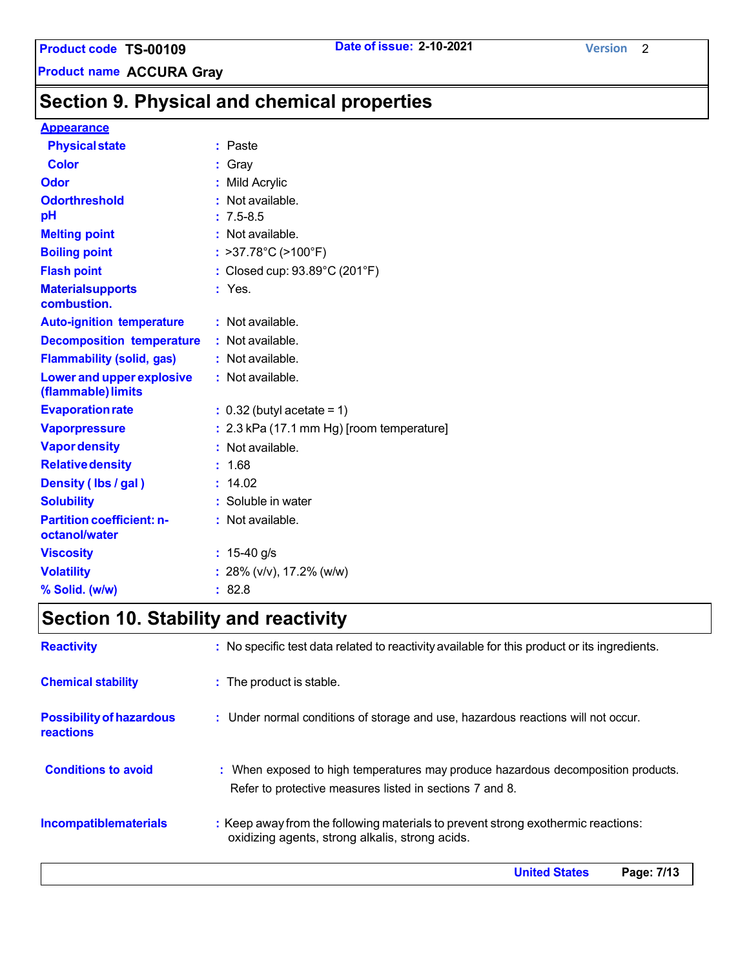**Product code TS-00109 Date of issue: 2-10-2021 Version** 2

**Product name ACCURA Gray**

# **Section 9. Physical and chemical properties**

### **Appearance**

| <b>Physical state</b>                                  | : Paste                                     |
|--------------------------------------------------------|---------------------------------------------|
| Color                                                  | : Gray                                      |
| <b>Odor</b>                                            | : Mild Acrylic                              |
| <b>Odorthreshold</b>                                   | • Not available.                            |
| pH                                                     | $: 7.5 - 8.5$                               |
| <b>Melting point</b>                                   | : Not available.                            |
| <b>Boiling point</b>                                   | : >37.78°C (>100°F)                         |
| <b>Flash point</b>                                     | : Closed cup: 93.89°C (201°F)               |
| <b>Materialsupports</b><br>combustion.                 | $:$ Yes.                                    |
| <b>Auto-ignition temperature</b>                       | : Not available.                            |
| <b>Decomposition temperature</b>                       | : Not available.                            |
| <b>Flammability (solid, gas)</b>                       | : Not available.                            |
| <b>Lower and upper explosive</b><br>(flammable) limits | : Not available.                            |
| <b>Evaporation rate</b>                                | $: 0.32$ (butyl acetate = 1)                |
| <b>Vaporpressure</b>                                   | $: 2.3$ kPa (17.1 mm Hg) [room temperature] |
| <b>Vapor density</b>                                   | : Not available.                            |
| <b>Relative density</b>                                | : 1.68                                      |
| Density (Ibs / gal)                                    | : 14.02                                     |
| <b>Solubility</b>                                      | : Soluble in water                          |
| <b>Partition coefficient: n-</b><br>octanol/water      | : Not available.                            |
| <b>Viscosity</b>                                       | : $15-40$ g/s                               |
| <b>Volatility</b>                                      | : 28% (v/v), 17.2% (w/w)                    |
| % Solid. (w/w)                                         | : 82.8                                      |

# **Section 10. Stability and reactivity**

| <b>Reactivity</b>                            | : No specific test data related to reactivity available for this product or its ingredients.                                                  |
|----------------------------------------------|-----------------------------------------------------------------------------------------------------------------------------------------------|
| <b>Chemical stability</b>                    | : The product is stable.                                                                                                                      |
| <b>Possibility of hazardous</b><br>reactions | : Under normal conditions of storage and use, hazardous reactions will not occur.                                                             |
| <b>Conditions to avoid</b>                   | : When exposed to high temperatures may produce hazardous decomposition products.<br>Refer to protective measures listed in sections 7 and 8. |
| <b>Incompatiblematerials</b>                 | : Keep away from the following materials to prevent strong exothermic reactions:<br>oxidizing agents, strong alkalis, strong acids.           |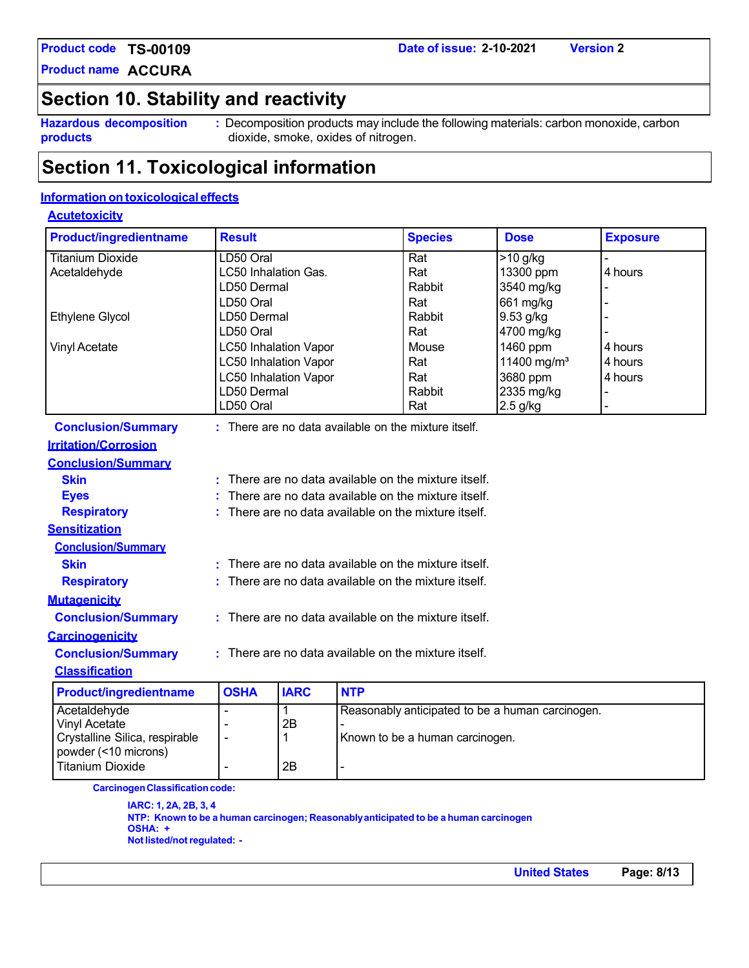**Product name ACCURA**

# **Section 10. Stability and reactivity**

**Hazardous decomposition products**

**:** Decomposition products may include the following materials: carbon monoxide, carbon dioxide, smoke, oxides of nitrogen.

# **Section 11. Toxicological information**

### **Information on toxicological effects**

### **Acutetoxicity**

| <b>Product/ingredientname</b>                          | <b>Result</b>                                      |             |            | <b>Species</b>                                       | <b>Dose</b>                                      | <b>Exposure</b> |
|--------------------------------------------------------|----------------------------------------------------|-------------|------------|------------------------------------------------------|--------------------------------------------------|-----------------|
| <b>Titanium Dioxide</b>                                | LD50 Oral                                          |             |            | Rat                                                  | $>10$ g/kg                                       |                 |
| Acetaldehyde                                           | <b>LC50 Inhalation Gas.</b>                        |             |            | Rat                                                  | 13300 ppm                                        | 4 hours         |
|                                                        | LD50 Dermal                                        |             |            | <b>Rabbit</b>                                        | 3540 mg/kg                                       |                 |
|                                                        | LD50 Oral                                          |             |            | Rat                                                  | 661 mg/kg                                        |                 |
| Ethylene Glycol                                        | LD50 Dermal                                        |             |            | Rabbit                                               | 9.53 g/kg                                        |                 |
|                                                        | LD50 Oral                                          |             |            | Rat                                                  | 4700 mg/kg                                       |                 |
| <b>Vinyl Acetate</b>                                   | <b>LC50 Inhalation Vapor</b>                       |             |            | Mouse                                                | 1460 ppm                                         | 4 hours         |
|                                                        | <b>LC50 Inhalation Vapor</b>                       |             |            | Rat                                                  | 11400 mg/m <sup>3</sup>                          | 4 hours         |
|                                                        | <b>LC50 Inhalation Vapor</b>                       |             |            | Rat                                                  | 3680 ppm                                         | 4 hours         |
|                                                        | LD50 Dermal                                        |             |            | Rabbit                                               | 2335 mg/kg                                       |                 |
|                                                        | LD50 Oral                                          |             |            | Rat                                                  | 2.5 g/kg                                         |                 |
| <b>Conclusion/Summary</b>                              |                                                    |             |            | : There are no data available on the mixture itself. |                                                  |                 |
| <b>Irritation/Corrosion</b>                            |                                                    |             |            |                                                      |                                                  |                 |
| <b>Conclusion/Summary</b>                              |                                                    |             |            |                                                      |                                                  |                 |
| <b>Skin</b>                                            |                                                    |             |            | There are no data available on the mixture itself.   |                                                  |                 |
| <b>Eyes</b>                                            | There are no data available on the mixture itself. |             |            |                                                      |                                                  |                 |
| <b>Respiratory</b>                                     | There are no data available on the mixture itself. |             |            |                                                      |                                                  |                 |
| <b>Sensitization</b>                                   |                                                    |             |            |                                                      |                                                  |                 |
| <b>Conclusion/Summary</b>                              |                                                    |             |            |                                                      |                                                  |                 |
| <b>Skin</b>                                            | There are no data available on the mixture itself. |             |            |                                                      |                                                  |                 |
| <b>Respiratory</b>                                     | There are no data available on the mixture itself. |             |            |                                                      |                                                  |                 |
| <b>Mutagenicity</b>                                    |                                                    |             |            |                                                      |                                                  |                 |
| <b>Conclusion/Summary</b>                              |                                                    |             |            | : There are no data available on the mixture itself. |                                                  |                 |
| <b>Carcinogenicity</b>                                 |                                                    |             |            |                                                      |                                                  |                 |
| <b>Conclusion/Summary</b>                              | There are no data available on the mixture itself. |             |            |                                                      |                                                  |                 |
| <b>Classification</b>                                  |                                                    |             |            |                                                      |                                                  |                 |
| <b>Product/ingredientname</b>                          | <b>OSHA</b>                                        | <b>IARC</b> | <b>NTP</b> |                                                      |                                                  |                 |
| Acetaldehyde                                           | $\blacksquare$                                     | 1           |            |                                                      | Reasonably anticipated to be a human carcinogen. |                 |
| <b>Vinyl Acetate</b>                                   | $\blacksquare$                                     | 2B          |            |                                                      |                                                  |                 |
| Crystalline Silica, respirable<br>powder (<10 microns) | ä,                                                 | 1           |            | Known to be a human carcinogen.                      |                                                  |                 |
| <b>Titanium Dioxide</b>                                |                                                    | 2B          |            |                                                      |                                                  |                 |
| <b>Carcinogen Classification code:</b>                 |                                                    |             |            |                                                      |                                                  |                 |

**IARC: 1, 2A, 2B, 3, 4 NTP: Known to be a human carcinogen; Reasonablyanticipated to be a human carcinogen OSHA: + Notlisted/notregulated: -**

**United States Page: 8/13**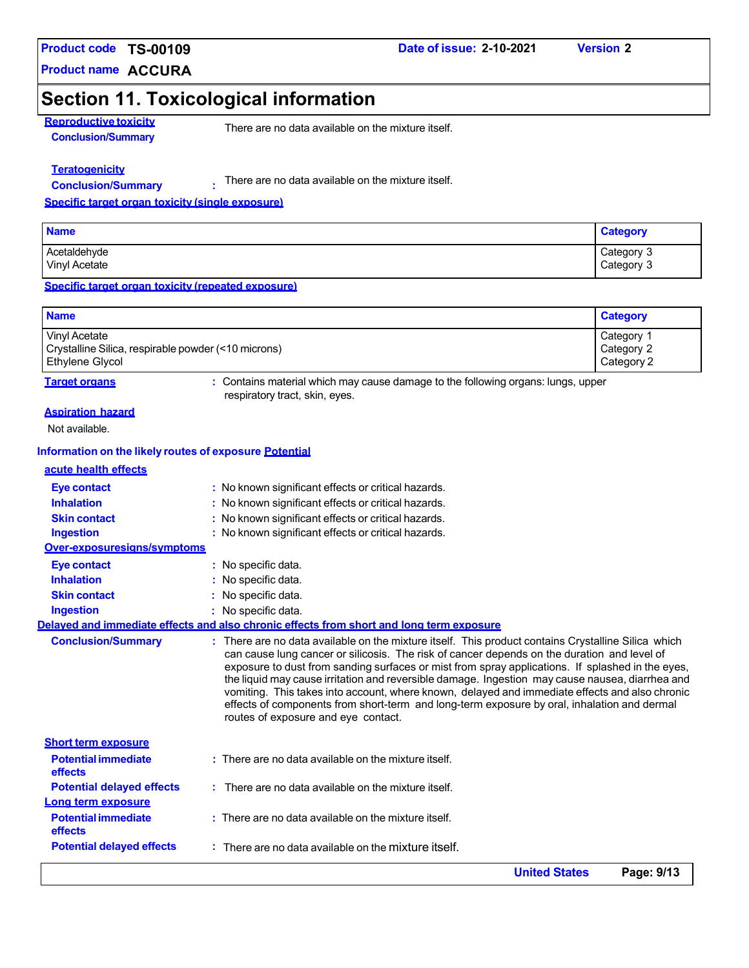**Product name ACCURA**

# **Section 11. Toxicological information**

**Reproductive toxicity Conclusion/Summary**

There are no data available on the mixture itself.

### **Teratogenicity**

**Conclusion/Summary :**

There are no data available on the mixture itself.

#### **Specific target organ toxicity (single exposure)**

| <b>Name</b>   | <b>Category</b> |
|---------------|-----------------|
| Acetaldehyde  | Category 3      |
| Vinyl Acetate | Category 3      |

#### **Specific target organ toxicity (repeated exposure)**

| <b>Name</b>                                         | <b>Category</b>       |
|-----------------------------------------------------|-----------------------|
| Vinyl Acetate                                       | Category <sup>-</sup> |
| Crystalline Silica, respirable powder (<10 microns) | Category 2            |
| Ethylene Glycol                                     | Category 2            |

**Target organs :** Contains material which may cause damage to the following organs: lungs, upper respiratory tract, skin, eyes.

#### **Aspiration hazard**

Not available.

#### **Information on the likely routes of exposure Potential**

| acute health effects |
|----------------------|
|----------------------|

| <b>Potential delayed effects</b>                         | There are no data available on the mixture itself.                                                                                                                                                                                                                                                                                                                                                                                                                                                                                                                                                                                                |
|----------------------------------------------------------|---------------------------------------------------------------------------------------------------------------------------------------------------------------------------------------------------------------------------------------------------------------------------------------------------------------------------------------------------------------------------------------------------------------------------------------------------------------------------------------------------------------------------------------------------------------------------------------------------------------------------------------------------|
| effects                                                  |                                                                                                                                                                                                                                                                                                                                                                                                                                                                                                                                                                                                                                                   |
| <b>Short term exposure</b><br><b>Potential immediate</b> | : There are no data available on the mixture itself.                                                                                                                                                                                                                                                                                                                                                                                                                                                                                                                                                                                              |
| <b>Conclusion/Summary</b>                                | : There are no data available on the mixture itself. This product contains Crystalline Silica which<br>can cause lung cancer or silicosis. The risk of cancer depends on the duration and level of<br>exposure to dust from sanding surfaces or mist from spray applications. If splashed in the eyes,<br>the liquid may cause irritation and reversible damage. Ingestion may cause nausea, diarrhea and<br>vomiting. This takes into account, where known, delayed and immediate effects and also chronic<br>effects of components from short-term and long-term exposure by oral, inhalation and dermal<br>routes of exposure and eye contact. |
|                                                          | Delayed and immediate effects and also chronic effects from short and long term exposure                                                                                                                                                                                                                                                                                                                                                                                                                                                                                                                                                          |
| Ingestion                                                | $:$ No specific data.                                                                                                                                                                                                                                                                                                                                                                                                                                                                                                                                                                                                                             |
| <b>Skin contact</b>                                      | : No specific data.                                                                                                                                                                                                                                                                                                                                                                                                                                                                                                                                                                                                                               |
| <b>Inhalation</b>                                        | : No specific data.                                                                                                                                                                                                                                                                                                                                                                                                                                                                                                                                                                                                                               |
| <b>Eye contact</b>                                       | : No specific data.                                                                                                                                                                                                                                                                                                                                                                                                                                                                                                                                                                                                                               |
| Over-exposuresians/symptoms                              |                                                                                                                                                                                                                                                                                                                                                                                                                                                                                                                                                                                                                                                   |
| <b>Ingestion</b>                                         | : No known significant effects or critical hazards.<br>: No known significant effects or critical hazards.                                                                                                                                                                                                                                                                                                                                                                                                                                                                                                                                        |
| <b>Inhalation</b><br><b>Skin contact</b>                 | : No known significant effects or critical hazards.                                                                                                                                                                                                                                                                                                                                                                                                                                                                                                                                                                                               |
| <b>Eye contact</b>                                       | : No known significant effects or critical hazards.                                                                                                                                                                                                                                                                                                                                                                                                                                                                                                                                                                                               |

**Date of issue: 2-10-2021 Version 2**

**United States Page: 9/13**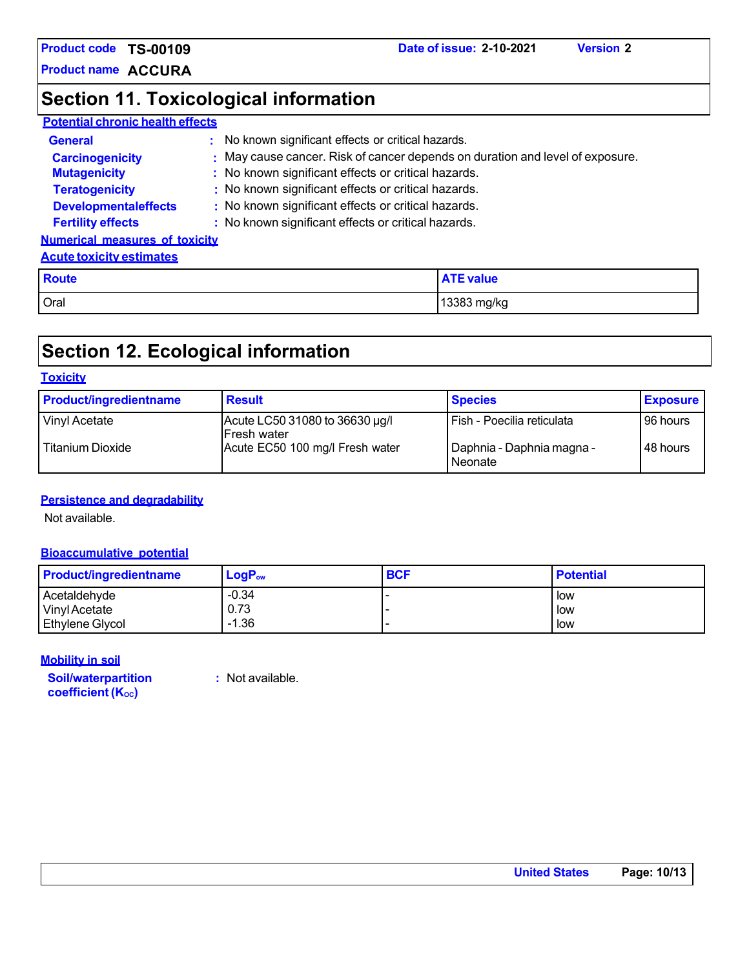**Product name ACCURA**

# **Section 11. Toxicological information**

### **Potential chronic health effects**

| <b>General</b>                        | : No known significant effects or critical hazards.                           |
|---------------------------------------|-------------------------------------------------------------------------------|
| <b>Carcinogenicity</b>                | : May cause cancer. Risk of cancer depends on duration and level of exposure. |
| <b>Mutagenicity</b>                   | : No known significant effects or critical hazards.                           |
| <b>Teratogenicity</b>                 | : No known significant effects or critical hazards.                           |
| <b>Developmentaleffects</b>           | : No known significant effects or critical hazards.                           |
| <b>Fertility effects</b>              | : No known significant effects or critical hazards.                           |
| <b>Numerical measures of toxicity</b> |                                                                               |
| <b>Acute toxicity estimates</b>       |                                                                               |

**Route ATE value**

Oral 13383 mg/kg

# **Section 12. Ecological information**

#### **Toxicity**

| <b>Product/ingredientname</b> | <b>Result</b>                                         | <b>Species</b>                       | <b>Exposure</b> |
|-------------------------------|-------------------------------------------------------|--------------------------------------|-----------------|
| Vinyl Acetate                 | Acute LC50 31080 to 36630 µg/l<br><b>IFresh water</b> | Fish - Poecilia reticulata           | 96 hours        |
| Titanium Dioxide              | Acute EC50 100 mg/l Fresh water                       | Daphnia - Daphnia magna -<br>Neonate | 48 hours        |

### **Persistence and degradability**

Not available.

### **Bioaccumulative potential**

| <b>Product/ingredientname</b> | $LogP_{ow}$ | <b>BCF</b> | <b>Potential</b> |
|-------------------------------|-------------|------------|------------------|
| Acetaldehyde                  | $-0.34$     |            | low              |
| Vinyl Acetate                 | 0.73        |            | low              |
| Ethylene Glycol               | $-1.36$     |            | low              |

### **Mobility in soil**

**Soil/waterpartition coefficient** (K<sub>oc</sub>)

**:** Not available.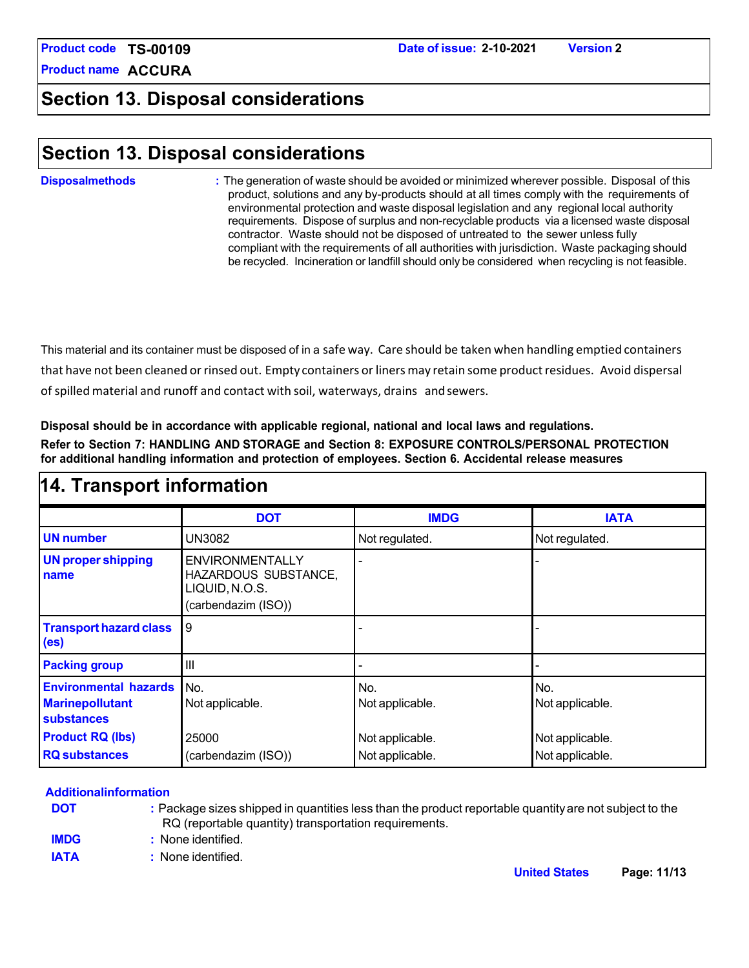**Product name ACCURA**

### **Section 13. Disposal considerations**

### **Section 13. Disposal considerations**

#### **Disposalmethods :** The generation of waste should be avoided or minimized wherever possible. Disposal of this product, solutions and any by-products should at all times comply with the requirements of environmental protection and waste disposal legislation and any regional local authority requirements. Dispose of surplus and non-recyclable products via a licensed waste disposal contractor. Waste should not be disposed of untreated to the sewer unless fully compliant with the requirements of all authorities with jurisdiction. Waste packaging should be recycled. Incineration or landfill should only be considered when recycling is not feasible.

This material and its container must be disposed of in a safe way. Care should be taken when handling emptied containers that have not been cleaned or rinsed out. Empty containers or liners may retain some product residues. Avoid dispersal of spilled material and runoff and contact with soil, waterways, drains andsewers.

**Disposal should be in accordance with applicable regional, national and local laws and regulations. Refer to Section 7: HANDLING AND STORAGE and Section 8: EXPOSURE CONTROLS/PERSONAL PROTECTION for additional handling information and protection of employees. Section 6. Accidental release measures**

| 14. Transport information                                                   |                                                                                         |                        |                        |  |
|-----------------------------------------------------------------------------|-----------------------------------------------------------------------------------------|------------------------|------------------------|--|
|                                                                             | <b>DOT</b>                                                                              | <b>IMDG</b>            | <b>IATA</b>            |  |
| <b>UN number</b>                                                            | UN3082                                                                                  | Not regulated.         | Not regulated.         |  |
| <b>UN proper shipping</b><br>name                                           | <b>ENVIRONMENTALLY</b><br>HAZARDOUS SUBSTANCE,<br>LIQUID, N.O.S.<br>(carbendazim (ISO)) |                        |                        |  |
| <b>Transport hazard class</b><br>(e <sub>s</sub> )                          | 9                                                                                       |                        |                        |  |
| <b>Packing group</b>                                                        | $\mathbf{III}$                                                                          |                        |                        |  |
| <b>Environmental hazards</b><br><b>Marinepollutant</b><br><b>substances</b> | No.<br>Not applicable.                                                                  | No.<br>Not applicable. | No.<br>Not applicable. |  |
| <b>Product RQ (lbs)</b>                                                     | 25000                                                                                   | Not applicable.        | Not applicable.        |  |
| <b>RQ</b> substances                                                        | (carbendazim (ISO))                                                                     | Not applicable.        | Not applicable.        |  |

#### **Additionalinformation**

**DOT :** Package sizes shipped in quantities less than the product reportable quantityare not subject to the RQ (reportable quantity) transportation requirements.

**IMDG :** None identified.

**IATA :** None identified.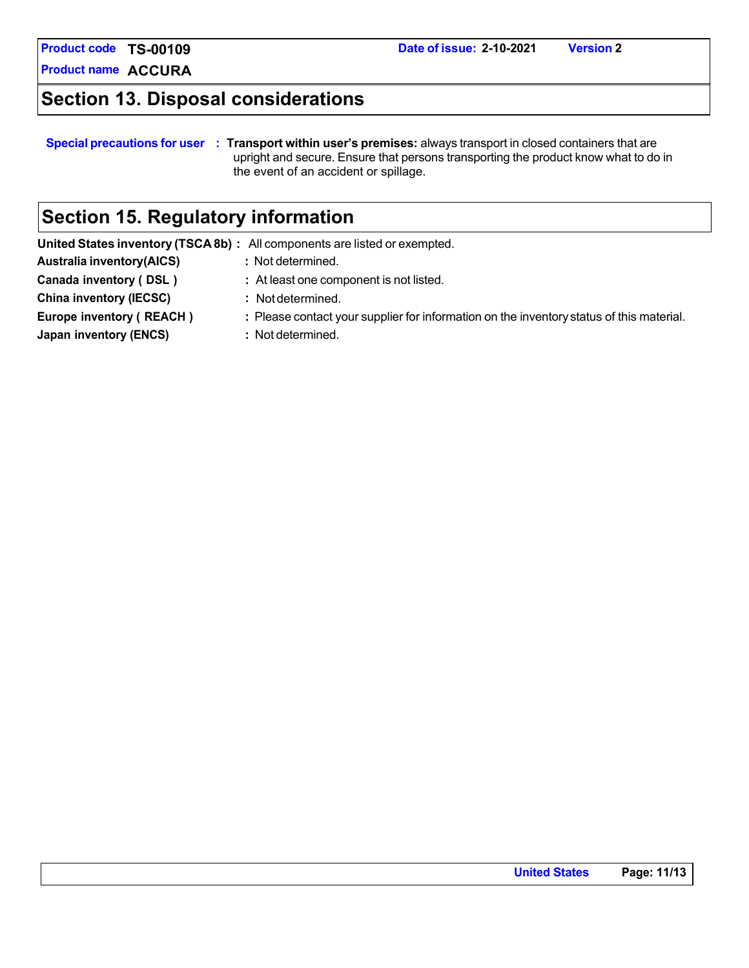**Product name ACCURA**

# **Section 13. Disposal considerations**

#### **Special precautions for user : Transport within user's premises:** always transport in closed containers that are upright and secure. Ensure that persons transporting the product know what to do in the event of an accident or spillage.

# **Section 15. Regulatory information**

|                                  | United States inventory (TSCA8b) : All components are listed or exempted.                |
|----------------------------------|------------------------------------------------------------------------------------------|
| <b>Australia inventory(AICS)</b> | : Not determined.                                                                        |
| Canada inventory (DSL)           | : At least one component is not listed.                                                  |
| <b>China inventory (IECSC)</b>   | : Not determined.                                                                        |
| Europe inventory (REACH)         | : Please contact your supplier for information on the inventory status of this material. |
| Japan inventory (ENCS)           | : Not determined.                                                                        |
|                                  |                                                                                          |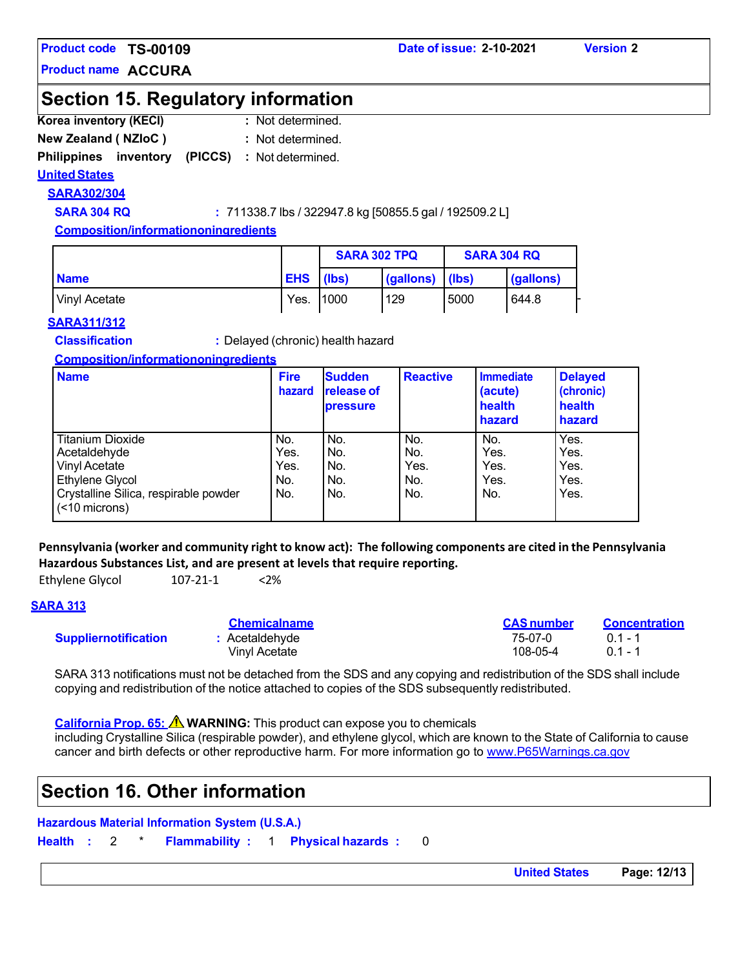**Product name ACCURA**

### **Section 15. Regulatory information**

- **Korea inventory (KECI) :** : Not determined.
- **New Zealand ( NZIoC ) :**  : Not determined.

### **Philippines inventory (PICCS) :**  Not determined.

### **UnitedStates**

**SARA302/304**

**SARA 304 RQ :** 711338.7 lbs / 322947.8 kg [50855.5 gal / 192509.2 L]

**Composition/informationoningredients**

|               |            | <b>SARA 302 TPQ</b> |           | <b>SARA 304 RQ</b> |           |
|---------------|------------|---------------------|-----------|--------------------|-----------|
| <b>Name</b>   | <b>EHS</b> | (Ibs)               | (gallons) | (Ibs)              | (gallons) |
| Vinyl Acetate | Yes.       | 1000                | 129       | 5000               | 644.8     |

### **SARA311/312**

**Classification :** Delayed (chronic) health hazard

### **Composition/informationoningredients**

| <b>Name</b>                                            | <b>Fire</b><br>hazard | <b>Sudden</b><br><b>release of</b><br><b>pressure</b> | <b>Reactive</b> | <b>Immediate</b><br>(acute)<br>health<br>hazard | <b>Delayed</b><br>(chronic)<br>health<br>hazard |
|--------------------------------------------------------|-----------------------|-------------------------------------------------------|-----------------|-------------------------------------------------|-------------------------------------------------|
| <b>Titanium Dioxide</b>                                | No.                   | No.                                                   | No.             | No.                                             | Yes.                                            |
| Acetaldehyde                                           | Yes.                  | No.                                                   | No.             | Yes.                                            | Yes.                                            |
| Vinyl Acetate                                          | Yes.                  | No.                                                   | Yes.            | Yes.                                            | Yes.                                            |
| Ethylene Glycol                                        | No.                   | No.                                                   | No.             | Yes.                                            | Yes.                                            |
| Crystalline Silica, respirable powder<br>(<10 microns) | No.                   | No.                                                   | No.             | No.                                             | Yes.                                            |

### **Pennsylvania (worker and community right to know act): The following components are cited in the Pennsylvania Hazardous Substances List, and are present at levels that require reporting.**

Ethylene Glycol 107-21-1 <2%

### **SARA 313**

|                             | <b>Chemicalname</b> | <b>CAS number</b> | <b>Concentration</b> |
|-----------------------------|---------------------|-------------------|----------------------|
| <b>Suppliernotification</b> | : Acetaldehyde      | 75-07-0           | $01 - 1$             |
|                             | Vinvl Acetate       | 108-05-4          | $01 - 1$             |

SARA 313 notifications must not be detached from the SDS and any copying and redistribution of the SDS shall include copying and redistribution of the notice attached to copies of the SDS subsequently redistributed.

**California Prop. 65: WARNING:** This product can expose you to chemicals

including Crystalline Silica (respirable powder), and ethylene glycol, which are known to the State of California to cause cancer and birth defects or other reproductive harm. For more information go to [www.P65Warnings.ca.gov](http://www.p65warnings.ca.gov/)

### **Section 16. Other information**

### **Hazardous Material Information System (U.S.A.)**

**Health :** 2 \* **Flammability :** 1 **Physical hazards :** 0

**United States Page: 12/13**